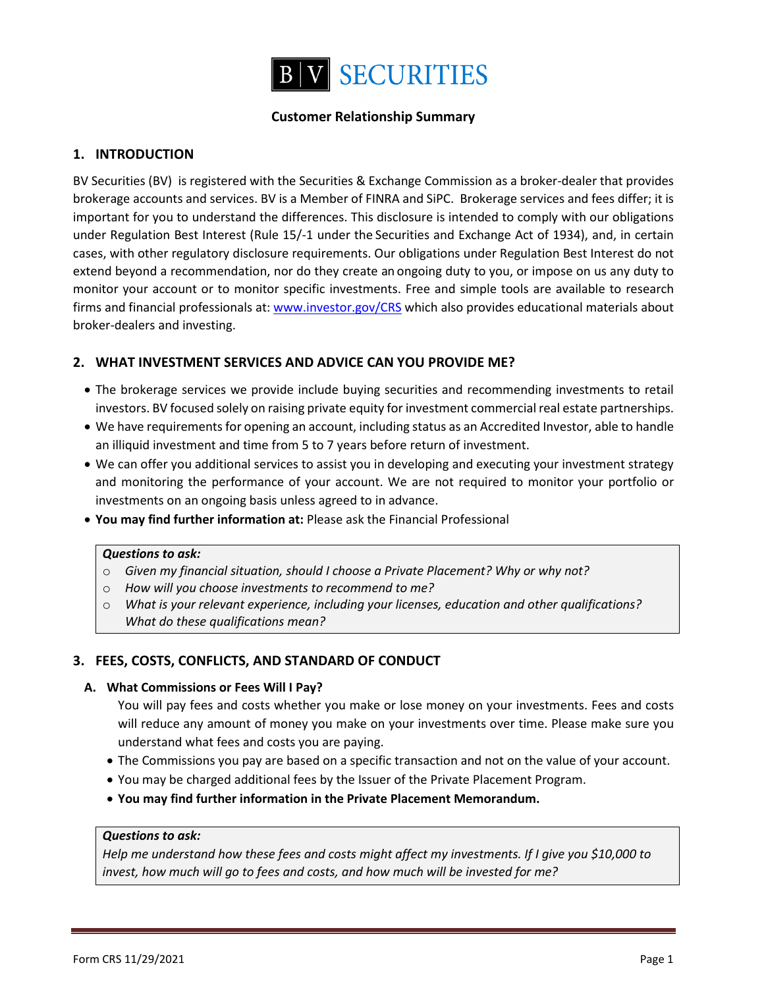

# **Customer Relationship Summary**

# **1. INTRODUCTION**

BV Securities (BV) is registered with the Securities & Exchange Commission as a broker-dealer that provides brokerage accounts and services. BV is a Member of FINRA and SiPC. Brokerage services and fees differ; it is important for you to understand the differences. This disclosure is intended to comply with our obligations under Regulation Best Interest (Rule 15/-1 under the Securities and Exchange Act of 1934), and, in certain cases, with other regulatory disclosure requirements. Our obligations under Regulation Best Interest do not extend beyond a recommendation, nor do they create an ongoing duty to you, or impose on us any duty to monitor your account or to monitor specific investments. Free and simple tools are available to research firms and financial professionals at: www.investor.gov/CRS which also provides educational materials about broker-dealers and investing.

## **2. WHAT INVESTMENT SERVICES AND ADVICE CAN YOU PROVIDE ME?**

- The brokerage services we provide include buying securities and recommending investments to retail investors. BV focused solely on raising private equity for investment commercial real estate partnerships.
- We have requirements for opening an account, including status as an Accredited Investor, able to handle an illiquid investment and time from 5 to 7 years before return of investment.
- We can offer you additional services to assist you in developing and executing your investment strategy and monitoring the performance of your account. We are not required to monitor your portfolio or investments on an ongoing basis unless agreed to in advance.
- x **You may find further information at:** Please ask the Financial Professional

### *Questions to ask:*

- o *Given my financial situation, should I choose a Private Placement? Why or why not?*
- o *How will you choose investments to recommend to me?*
- o *What is your relevant experience, including your licenses, education and other qualifications? What do these qualifications mean?*

## **3. FEES, COSTS, CONFLICTS, AND STANDARD OF CONDUCT**

### **A. What Commissions or Fees Will I Pay?**

You will pay fees and costs whether you make or lose money on your investments. Fees and costs will reduce any amount of money you make on your investments over time. Please make sure you understand what fees and costs you are paying.

- The Commissions you pay are based on a specific transaction and not on the value of your account.
- You may be charged additional fees by the Issuer of the Private Placement Program.
- x **You may find further information in the Private Placement Memorandum.**

### *Questions to ask:*

*Help me understand how these fees and costs might affect my investments. If I give you \$10,000 to invest, how much will go to fees and costs, and how much will be invested for me?*